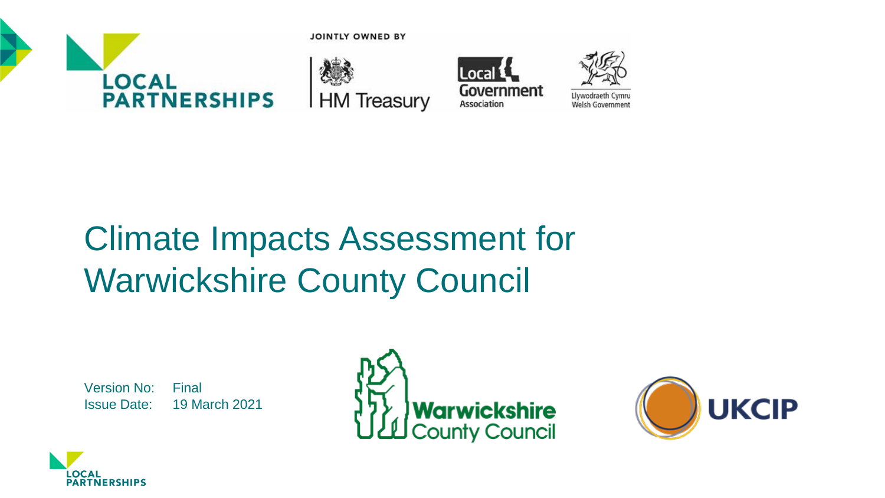

**JOINTLY OWNED BY** 







# Climate Impacts Assessment for Warwickshire County Council

Version No: Final Issue Date: 19 March 2021





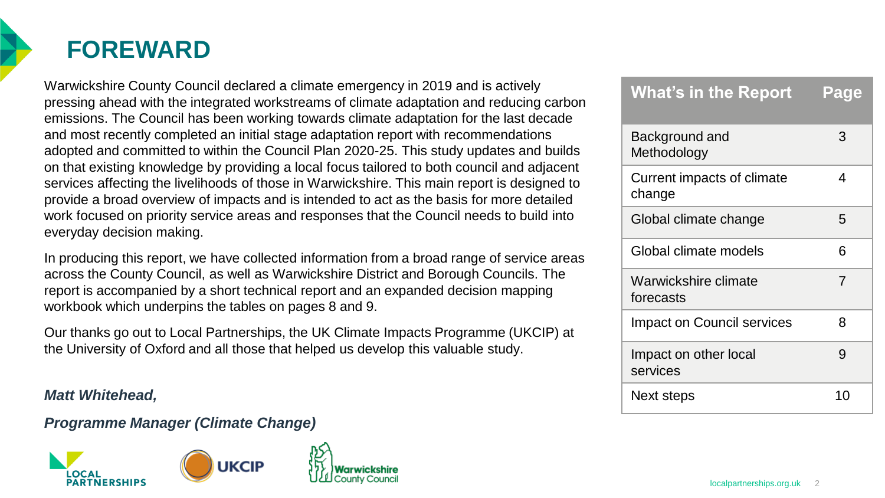

### **FOREWARD**

Warwickshire County Council declared a climate emergency in 2019 and is actively pressing ahead with the integrated workstreams of climate adaptation and reducing carbon emissions. The Council has been working towards climate adaptation for the last decade and most recently completed an initial stage adaptation report with recommendations adopted and committed to within the Council Plan 2020-25. This study updates and builds on that existing knowledge by providing a local focus tailored to both council and adjacent services affecting the livelihoods of those in Warwickshire. This main report is designed to provide a broad overview of impacts and is intended to act as the basis for more detailed work focused on priority service areas and responses that the Council needs to build into everyday decision making.

In producing this report, we have collected information from a broad range of service areas across the County Council, as well as Warwickshire District and Borough Councils. The report is accompanied by a short technical report and an expanded decision mapping workbook which underpins the tables on pages 8 and 9.

Our thanks go out to Local Partnerships, the UK Climate Impacts Programme (UKCIP) at the University of Oxford and all those that helped us develop this valuable study.

#### *Matt Whitehead,*

### *Programme Manager (Climate Change)*



| <b>What's in the Report</b>          | Page |
|--------------------------------------|------|
| Background and<br>Methodology        | 3    |
| Current impacts of climate<br>change | 4    |
| Global climate change                | 5    |
| Global climate models                | 6    |
| Warwickshire climate<br>forecasts    | 7    |
| <b>Impact on Council services</b>    | 8    |
| Impact on other local<br>services    | 9    |
| Next steps                           | 10   |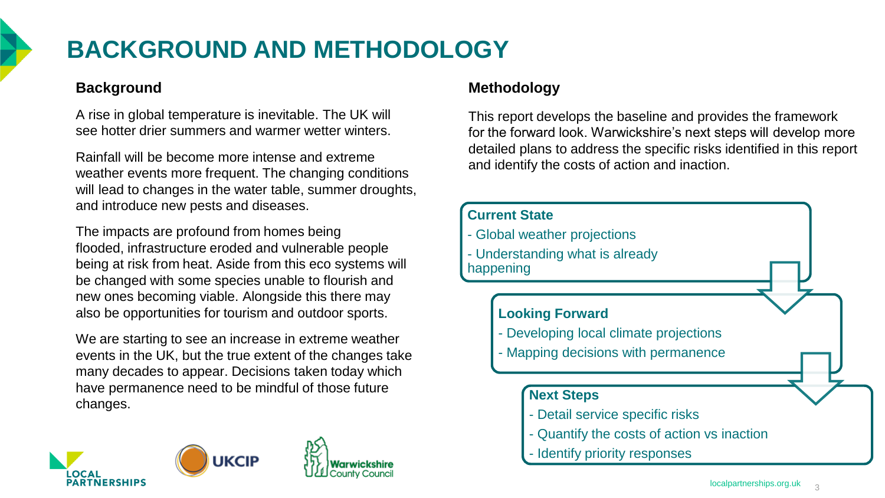

# **BACKGROUND AND METHODOLOGY**

### **Background**

A rise in global temperature is inevitable. The UK will see hotter drier summers and warmer wetter winters.

Rainfall will be become more intense and extreme weather events more frequent. The changing conditions will lead to changes in the water table, summer droughts, and introduce new pests and diseases.

The impacts are profound from homes being flooded, infrastructure eroded and vulnerable people being at risk from heat. Aside from this eco systems will be changed with some species unable to flourish and new ones becoming viable. Alongside this there may also be opportunities for tourism and outdoor sports.

We are starting to see an increase in extreme weather events in the UK, but the true extent of the changes take many decades to appear. Decisions taken today which have permanence need to be mindful of those future changes.



### **Methodology**

This report develops the baseline and provides the framework for the forward look. Warwickshire's next steps will develop more detailed plans to address the specific risks identified in this report and identify the costs of action and inaction.

#### **Current State**

- Global weather projections
- Understanding what is already happening

### **Looking Forward**

- Developing local climate projections
- Mapping decisions with permanence

#### **Next Steps**

- Detail service specific risks
- Quantify the costs of action vs inaction
- Identify priority responses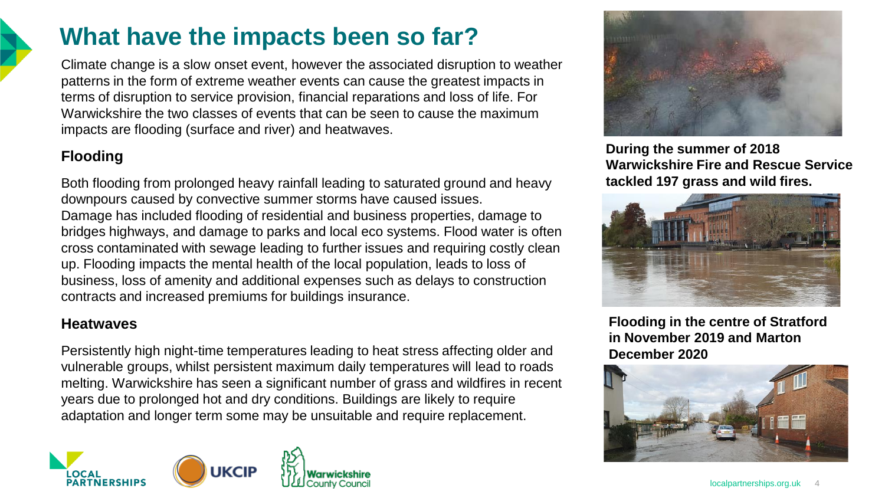### **What have the impacts been so far?**

Climate change is a slow onset event, however the associated disruption to weather patterns in the form of extreme weather events can cause the greatest impacts in terms of disruption to service provision, financial reparations and loss of life. For Warwickshire the two classes of events that can be seen to cause the maximum impacts are flooding (surface and river) and heatwaves.

### **Flooding**

Both flooding from prolonged heavy rainfall leading to saturated ground and heavy downpours caused by convective summer storms have caused issues. Damage has included flooding of residential and business properties, damage to bridges highways, and damage to parks and local eco systems. Flood water is often cross contaminated with sewage leading to further issues and requiring costly clean up. Flooding impacts the mental health of the local population, leads to loss of business, loss of amenity and additional expenses such as delays to construction contracts and increased premiums for buildings insurance.

### **Heatwaves**

Persistently high night-time temperatures leading to heat stress affecting older and vulnerable groups, whilst persistent maximum daily temperatures will lead to roads melting. Warwickshire has seen a significant number of grass and wildfires in recent years due to prolonged hot and dry conditions. Buildings are likely to require adaptation and longer term some may be unsuitable and require replacement.





**During the summer of 2018 Warwickshire Fire and Rescue Service tackled 197 grass and wild fires.**



**Flooding in the centre of Stratford in November 2019 and Marton December 2020**

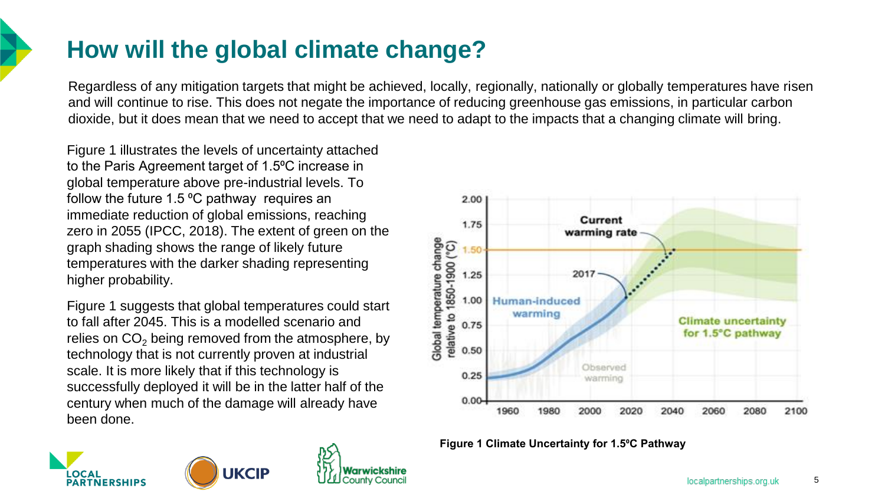# **How will the global climate change?**

Regardless of any mitigation targets that might be achieved, locally, regionally, nationally or globally temperatures have risen and will continue to rise. This does not negate the importance of reducing greenhouse gas emissions, in particular carbon dioxide, but it does mean that we need to accept that we need to adapt to the impacts that a changing climate will bring.

Figure 1 illustrates the levels of uncertainty attached to the Paris Agreement target of 1.5°C increase in global temperature above pre-industrial levels. To follow the future 1.5  $\degree$ C pathway requires an immediate reduction of global emissions, reaching zero in 2055 (IPCC, 2018). The extent of green on the graph shading shows the range of likely future temperatures with the darker shading representing higher probability.

Figure 1 suggests that global temperatures could start to fall after 2045. This is a modelled scenario and relies on  $CO<sub>2</sub>$  being removed from the atmosphere, by technology that is not currently proven at industrial scale. It is more likely that if this technology is successfully deployed it will be in the latter half of the century when much of the damage will already have been done.

**UKCIP** 





**Figure 1 Climate Uncertainty for 1.5⁰C Pathway**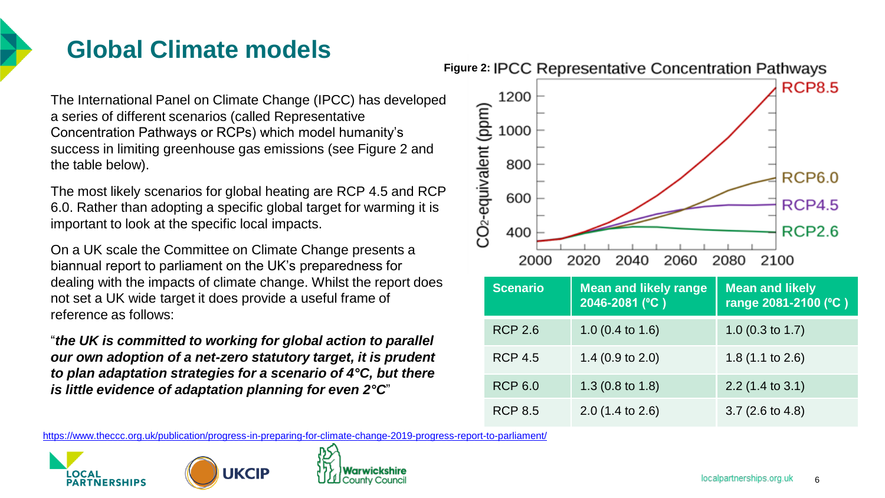

# **Global Climate models**

The International Panel on Climate Change (IPCC) has developed a series of different scenarios (called Representative Concentration Pathways or RCPs) which model humanity's success in limiting greenhouse gas emissions (see Figure 2 and the table below).

The most likely scenarios for global heating are RCP 4.5 and RCP 6.0. Rather than adopting a specific global target for warming it is important to look at the specific local impacts.

On a UK scale the Committee on Climate Change presents a biannual report to parliament on the UK's preparedness for dealing with the impacts of climate change. Whilst the report does not set a UK wide target it does provide a useful frame of reference as follows:

"*the UK is committed to working for global action to parallel our own adoption of a net-zero statutory target, it is prudent to plan adaptation strategies for a scenario of 4°C, but there is little evidence of adaptation planning for even 2°C*"



| <b>Scenario</b> | <b>Mean and likely range</b><br>2046-2081 (°C) | <b>Mean and likely</b><br>range 2081-2100 (°C) |
|-----------------|------------------------------------------------|------------------------------------------------|
| <b>RCP 2.6</b>  | 1.0 $(0.4 \text{ to } 1.6)$                    | 1.0 $(0.3 \text{ to } 1.7)$                    |
| <b>RCP 4.5</b>  | 1.4 $(0.9 \text{ to } 2.0)$                    | 1.8 $(1.1$ to 2.6)                             |
| <b>RCP 6.0</b>  | 1.3 $(0.8 \text{ to } 1.8)$                    | $2.2$ (1.4 to 3.1)                             |
| <b>RCP 8.5</b>  | $2.0$ (1.4 to 2.6)                             | $3.7(2.6 \text{ to } 4.8)$                     |

<https://www.theccc.org.uk/publication/progress-in-preparing-for-climate-change-2019-progress-report-to-parliament/>



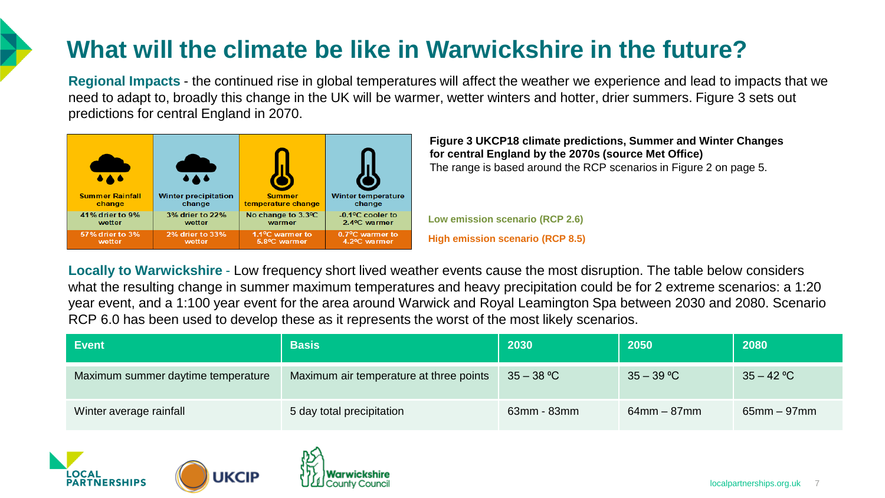# **What will the climate be like in Warwickshire in the future?**

**Regional Impacts** - the continued rise in global temperatures will affect the weather we experience and lead to impacts that we need to adapt to, broadly this change in the UK will be warmer, wetter winters and hotter, drier summers. Figure 3 sets out predictions for central England in 2070.



**Figure 3 UKCP18 climate predictions, Summer and Winter Changes for central England by the 2070s (source Met Office)** The range is based around the RCP scenarios in Figure 2 on page 5.

**Low emission scenario (RCP 2.6) High emission scenario (RCP 8.5)**

**Locally to Warwickshire** - Low frequency short lived weather events cause the most disruption. The table below considers what the resulting change in summer maximum temperatures and heavy precipitation could be for 2 extreme scenarios: a 1:20 year event, and a 1:100 year event for the area around Warwick and Royal Leamington Spa between 2030 and 2080. Scenario RCP 6.0 has been used to develop these as it represents the worst of the most likely scenarios.

| <b>Event</b>                       | <b>Basis</b>                            | 2030              | 2050           | 2080             |
|------------------------------------|-----------------------------------------|-------------------|----------------|------------------|
| Maximum summer daytime temperature | Maximum air temperature at three points | $35 - 38 °C$      | $35 - 39 °C$   | $35 - 42 °C$     |
| Winter average rainfall            | 5 day total precipitation               | $63$ mm - $83$ mm | $64$ mm – 87mm | $65$ mm $-97$ mm |





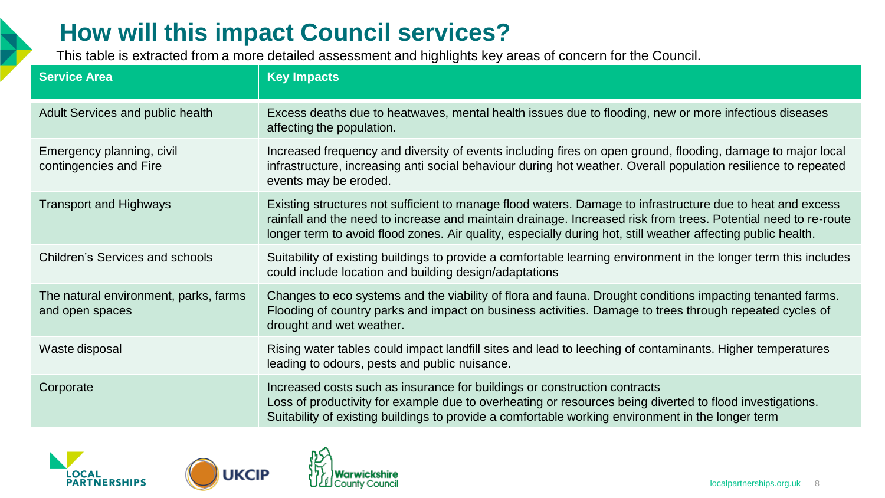# **How will this impact Council services?**

This table is extracted from a more detailed assessment and highlights key areas of concern for the Council.

| <b>Service Area</b>                                      | <b>Key Impacts</b>                                                                                                                                                                                                                                                                                                                           |
|----------------------------------------------------------|----------------------------------------------------------------------------------------------------------------------------------------------------------------------------------------------------------------------------------------------------------------------------------------------------------------------------------------------|
| Adult Services and public health                         | Excess deaths due to heatwaves, mental health issues due to flooding, new or more infectious diseases<br>affecting the population.                                                                                                                                                                                                           |
| Emergency planning, civil<br>contingencies and Fire      | Increased frequency and diversity of events including fires on open ground, flooding, damage to major local<br>infrastructure, increasing anti social behaviour during hot weather. Overall population resilience to repeated<br>events may be eroded.                                                                                       |
| <b>Transport and Highways</b>                            | Existing structures not sufficient to manage flood waters. Damage to infrastructure due to heat and excess<br>rainfall and the need to increase and maintain drainage. Increased risk from trees. Potential need to re-route<br>longer term to avoid flood zones. Air quality, especially during hot, still weather affecting public health. |
| Children's Services and schools                          | Suitability of existing buildings to provide a comfortable learning environment in the longer term this includes<br>could include location and building design/adaptations                                                                                                                                                                   |
| The natural environment, parks, farms<br>and open spaces | Changes to eco systems and the viability of flora and fauna. Drought conditions impacting tenanted farms.<br>Flooding of country parks and impact on business activities. Damage to trees through repeated cycles of<br>drought and wet weather.                                                                                             |
| Waste disposal                                           | Rising water tables could impact landfill sites and lead to leeching of contaminants. Higher temperatures<br>leading to odours, pests and public nuisance.                                                                                                                                                                                   |
| Corporate                                                | Increased costs such as insurance for buildings or construction contracts<br>Loss of productivity for example due to overheating or resources being diverted to flood investigations.<br>Suitability of existing buildings to provide a comfortable working environment in the longer term                                                   |





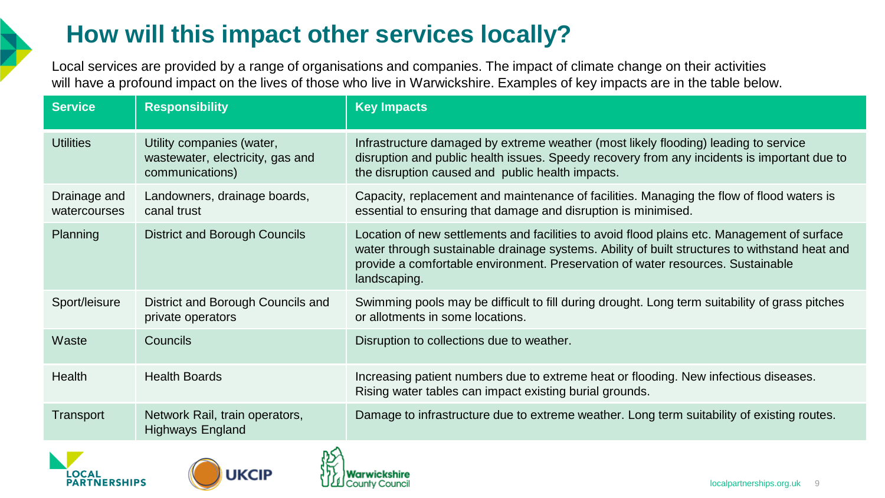## **How will this impact other services locally?**

Local services are provided by a range of organisations and companies. The impact of climate change on their activities will have a profound impact on the lives of those who live in Warwickshire. Examples of key impacts are in the table below.

| <b>Service</b>               | <b>Responsibility</b>                                                            | <b>Key Impacts</b>                                                                                                                                                                                                                                                                              |
|------------------------------|----------------------------------------------------------------------------------|-------------------------------------------------------------------------------------------------------------------------------------------------------------------------------------------------------------------------------------------------------------------------------------------------|
| <b>Utilities</b>             | Utility companies (water,<br>wastewater, electricity, gas and<br>communications) | Infrastructure damaged by extreme weather (most likely flooding) leading to service<br>disruption and public health issues. Speedy recovery from any incidents is important due to<br>the disruption caused and public health impacts.                                                          |
| Drainage and<br>watercourses | Landowners, drainage boards,<br>canal trust                                      | Capacity, replacement and maintenance of facilities. Managing the flow of flood waters is<br>essential to ensuring that damage and disruption is minimised.                                                                                                                                     |
| Planning                     | District and Borough Councils                                                    | Location of new settlements and facilities to avoid flood plains etc. Management of surface<br>water through sustainable drainage systems. Ability of built structures to withstand heat and<br>provide a comfortable environment. Preservation of water resources. Sustainable<br>landscaping. |
| Sport/leisure                | District and Borough Councils and<br>private operators                           | Swimming pools may be difficult to fill during drought. Long term suitability of grass pitches<br>or allotments in some locations.                                                                                                                                                              |
| Waste                        | <b>Councils</b>                                                                  | Disruption to collections due to weather.                                                                                                                                                                                                                                                       |
| Health                       | <b>Health Boards</b>                                                             | Increasing patient numbers due to extreme heat or flooding. New infectious diseases.<br>Rising water tables can impact existing burial grounds.                                                                                                                                                 |
| Transport                    | Network Rail, train operators,<br>Highways England                               | Damage to infrastructure due to extreme weather. Long term suitability of existing routes.                                                                                                                                                                                                      |





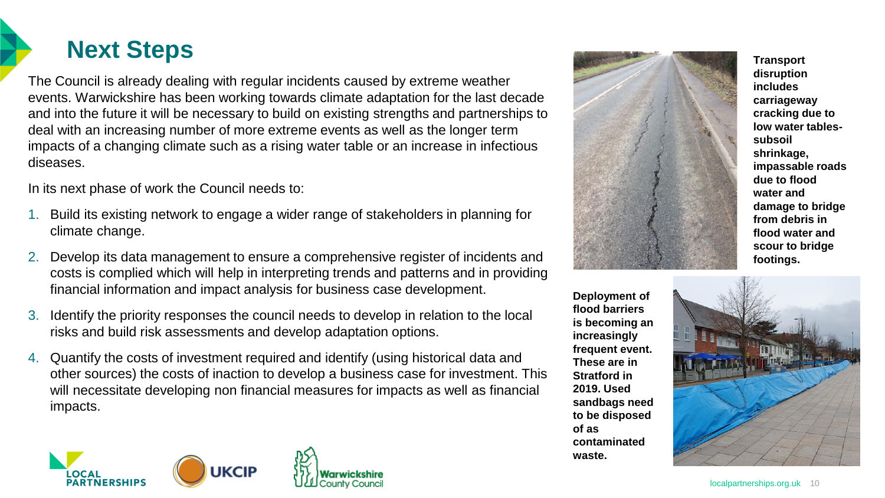

The Council is already dealing with regular incidents caused by extreme weather events. Warwickshire has been working towards climate adaptation for the last decade and into the future it will be necessary to build on existing strengths and partnerships to deal with an increasing number of more extreme events as well as the longer term impacts of a changing climate such as a rising water table or an increase in infectious diseases.

In its next phase of work the Council needs to:

- 1. Build its existing network to engage a wider range of stakeholders in planning for climate change.
- 2. Develop its data management to ensure a comprehensive register of incidents and costs is complied which will help in interpreting trends and patterns and in providing financial information and impact analysis for business case development.
- 3. Identify the priority responses the council needs to develop in relation to the local risks and build risk assessments and develop adaptation options.
- 4. Quantify the costs of investment required and identify (using historical data and other sources) the costs of inaction to develop a business case for investment. This will necessitate developing non financial measures for impacts as well as financial impacts.





**Deployment of flood barriers is becoming an increasingly frequent event. These are in Stratford in 2019. Used sandbags need to be disposed of as contaminated waste.**

**disruption includes carriageway cracking due to low water tablessubsoil shrinkage, impassable roads due to flood water and damage to bridge from debris in flood water and scour to bridge footings.**